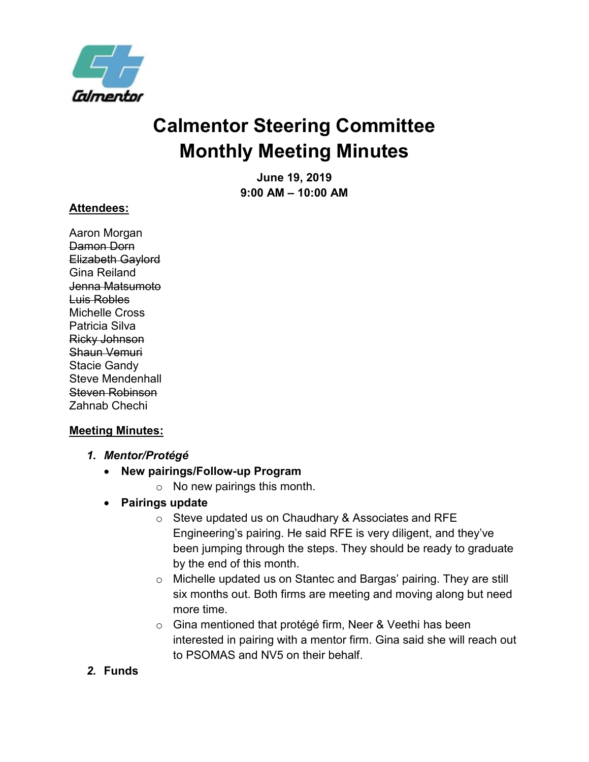

# **Calmentor Steering Committee Monthly Meeting Minutes**

**June 19, 2019 9:00 AM – 10:00 AM**

#### **Attendees:**

Aaron Morgan Damon Dorn Elizabeth Gaylord Gina Reiland Jenna Matsumoto Luis Robles Michelle Cross Patricia Silva Ricky Johnson Shaun Vemuri Stacie Gandy Steve Mendenhall Steven Robinson Zahnab Chechi

#### **Meeting Minutes:**

- *1. Mentor/Protégé*
	- **New pairings/Follow-up Program**
		- o No new pairings this month.
	- **Pairings update**
		- o Steve updated us on Chaudhary & Associates and RFE Engineering's pairing. He said RFE is very diligent, and they've been jumping through the steps. They should be ready to graduate by the end of this month.
		- o Michelle updated us on Stantec and Bargas' pairing. They are still six months out. Both firms are meeting and moving along but need more time.
		- o Gina mentioned that protégé firm, Neer & Veethi has been interested in pairing with a mentor firm. Gina said she will reach out to PSOMAS and NV5 on their behalf.
- *2.* **Funds**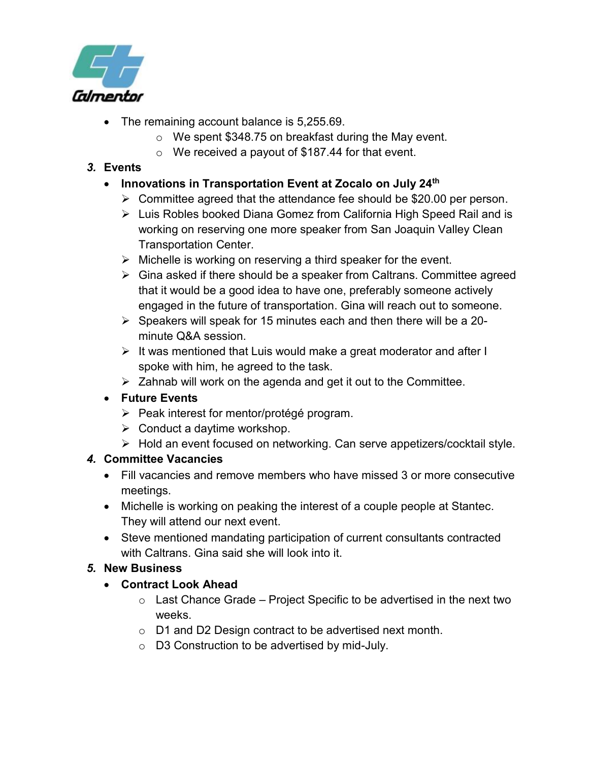

- The remaining account balance is 5,255.69.
	- o We spent \$348.75 on breakfast during the May event.
	- o We received a payout of \$187.44 for that event.

## *3.* **Events**

- **Innovations in Transportation Event at Zocalo on July 24th**
	- ➢ Committee agreed that the attendance fee should be \$20.00 per person.
	- ➢ Luis Robles booked Diana Gomez from California High Speed Rail and is working on reserving one more speaker from San Joaquin Valley Clean Transportation Center.
	- $\triangleright$  Michelle is working on reserving a third speaker for the event.
	- ➢ Gina asked if there should be a speaker from Caltrans. Committee agreed that it would be a good idea to have one, preferably someone actively engaged in the future of transportation. Gina will reach out to someone.
	- $\triangleright$  Speakers will speak for 15 minutes each and then there will be a 20minute Q&A session.
	- $\triangleright$  It was mentioned that Luis would make a great moderator and after I spoke with him, he agreed to the task.
	- $\triangleright$  Zahnab will work on the agenda and get it out to the Committee.

## • **Future Events**

- ➢ Peak interest for mentor/protégé program.
- $\triangleright$  Conduct a daytime workshop.
- ➢ Hold an event focused on networking. Can serve appetizers/cocktail style.

## *4.* **Committee Vacancies**

- Fill vacancies and remove members who have missed 3 or more consecutive meetings.
- Michelle is working on peaking the interest of a couple people at Stantec. They will attend our next event.
- Steve mentioned mandating participation of current consultants contracted with Caltrans. Gina said she will look into it.

## *5.* **New Business**

## • **Contract Look Ahead**

- $\circ$  Last Chance Grade Project Specific to be advertised in the next two weeks.
- o D1 and D2 Design contract to be advertised next month.
- o D3 Construction to be advertised by mid-July.